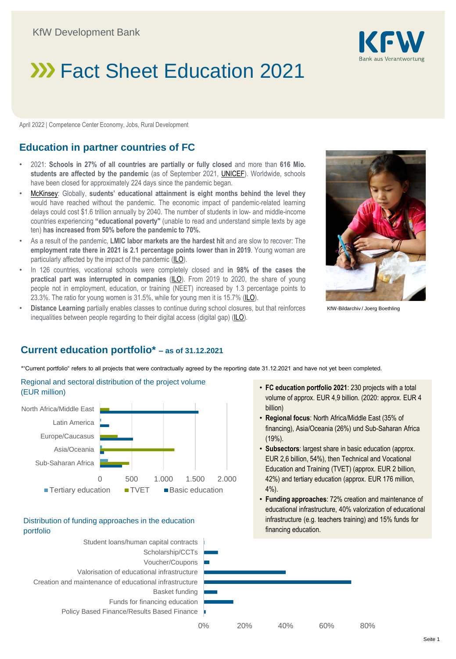# **XX Fact Sheet Education 2021**

April 2022 | Competence Center Economy, Jobs, Rural Development

## **Education in partner countries of FC**

- 2021: **Schools in 27% of all countries are partially or fully closed** and more than **616 Mio. students are affected by the pandemic** (as of September 2021, [UNICEF\)](https://www.unicef.org/press-releases/covid19-scale-education-loss-nearly-insurmountable-warns-unicef). Worldwide, schools have been closed for approximately 224 days since the pandemic began.
- [McKinsey:](https://www.mckinsey.com/industries/education/our-insights/how-covid-19-caused-a-global-learning-crisis) Globally, **sudents' educational attainment is eight months behind the level they** would have reached without the pandemic. The economic impact of pandemic-related learning delays could cost \$1.6 trillion annually by 2040. The number of students in low- and middle-income countries experiencing **"educational poverty"** (unable to read and understand simple texts by age ten) **has increased from 50% before the pandemic to 70%.**
- As a result of the pandemic, **LMIC labor markets are the hardest hit** and are slow to recover: The **employment rate there in 2021 is 2.1 percentage points lower than in 2019**. Young woman are particularly affected by the impact of the pandemic [\(ILO](https://www.ilo.org/wcmsp5/groups/public/---dgreports/---dcomm/---publ/documents/publication/wcms_834081.pdf)).
- In 126 countries, vocational schools were completely closed and **in 98% of the cases the practical part was interrupted in companies** [\(ILO](https://www.ilo.org/wcmsp5/groups/public/---dgreports/---dcomm/---publ/documents/publication/wcms_834081.pdf)). From 2019 to 2020, the share of young people not in employment, education, or training (NEET) increased by 1.3 percentage points to 23.3%. The ratio for young women is 31.5%, while for young men it is 15.7% [\(ILO\)](https://ilostat.ilo.org/covid-19-and-the-sustainable-development-goals-reversing-progress-towards-decent-work-for-all/).
- **Distance Learning** partially enables classes to continue during school closures, but that reinforces inequalities between people regarding to their digital access (digital gap) [\(ILO](https://www.ilo.org/wcmsp5/groups/public/---dgreports/---dcomm/---publ/documents/publication/wcms_834081.pdf)).



KfW-Bildarchiv / Joerg Boethling

## **Current education portfolio\* – as of 31.12.2021**

\*"Current portfolio" refers to all projects that were contractually agreed by the reporting date 31.12.2021 and have not yet been completed.





#### Distribution of funding approaches in the education portfolio



- **FC education portfolio 2021**: 230 projects with a total volume of approx. EUR 4,9 billion. (2020: approx. EUR 4 billion)
- **Regional focus**: North Africa/Middle East (35% of financing), Asia/Oceania (26%) und Sub-Saharan Africa (19%).
- **Subsectors**: largest share in basic education (approx. EUR 2,6 billion, 54%), then Technical and Vocational Education and Training (TVET) (approx. EUR 2 billion, 42%) and tertiary education (approx. EUR 176 million, 4%).
- **Funding approaches**: 72% creation and maintenance of educational infrastructure, 40% valorization of educational infrastructure (e.g. teachers training) and 15% funds for financing education.